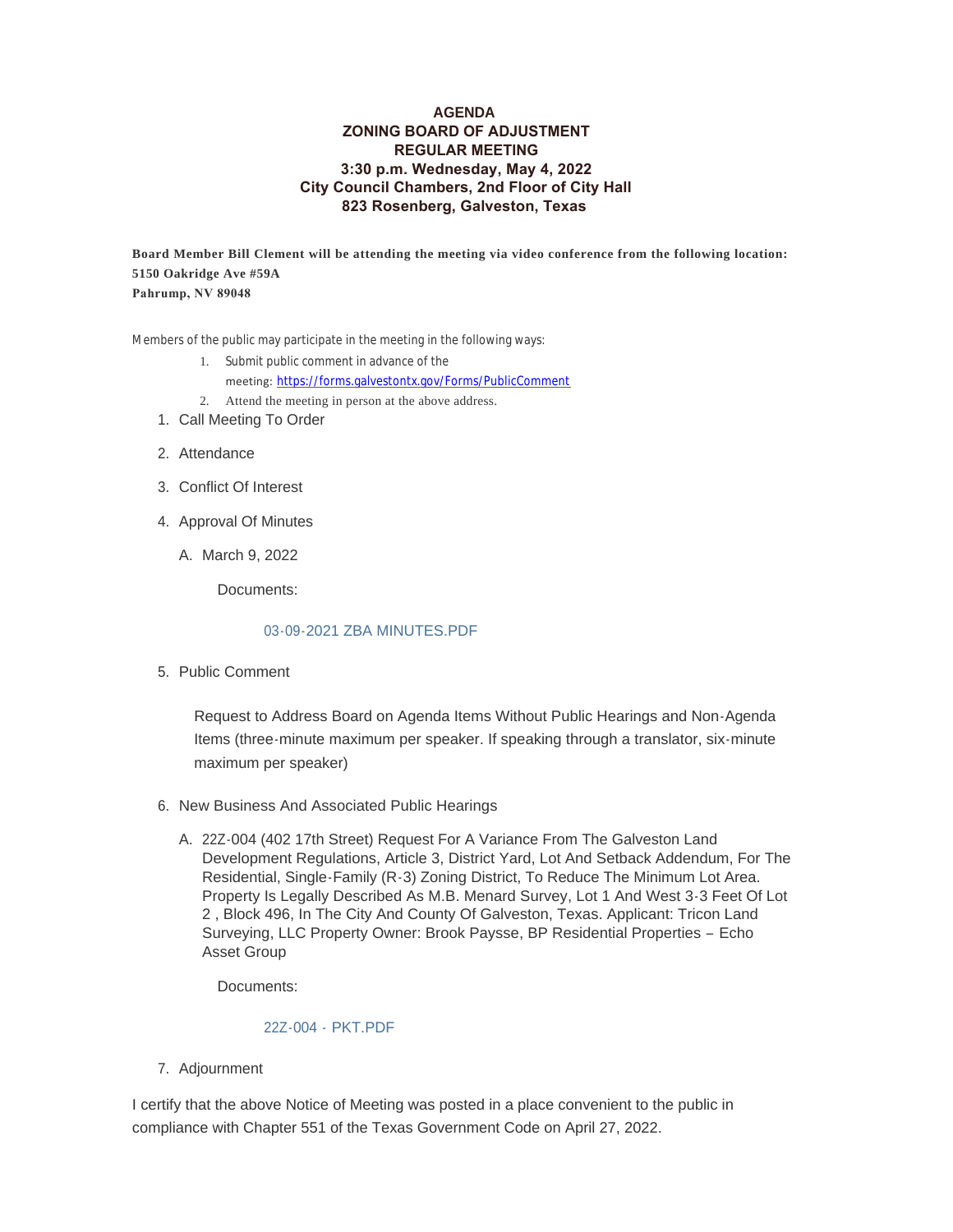## **AGENDA ZONING BOARD OF ADJUSTMENT REGULAR MEETING 3:30 p.m. Wednesday, May 4, 2022 City Council Chambers, 2nd Floor of City Hall 823 Rosenberg, Galveston, Texas**

**Board Member Bill Clement will be attending the meeting via video conference from the following location: 5150 Oakridge Ave #59A Pahrump, NV 89048** 

Members of the public may participate in the meeting in the following ways:

- 1. Submit public comment in advance of the
	- meeting: <https://forms.galvestontx.gov/Forms/PublicComment>
- 2. Attend the meeting in person at the above address.
- 1. Call Meeting To Order
- 2. Attendance
- Conflict Of Interest 3.
- 4. Approval Of Minutes
	- A. March 9, 2022

Documents:

## [03-09-2021 ZBA MINUTES.PDF](https://www.galvestontx.gov/AgendaCenter/ViewFile/Item/14174?fileID=32828)

5. Public Comment

Request to Address Board on Agenda Items Without Public Hearings and Non-Agenda Items (three-minute maximum per speaker. If speaking through a translator, six-minute maximum per speaker)

- 6. New Business And Associated Public Hearings
	- A. 22Z-004 (402 17th Street) Request For A Variance From The Galveston Land Development Regulations, Article 3, District Yard, Lot And Setback Addendum, For The Residential, Single-Family (R-3) Zoning District, To Reduce The Minimum Lot Area. Property Is Legally Described As M.B. Menard Survey, Lot 1 And West 3-3 Feet Of Lot 2 , Block 496, In The City And County Of Galveston, Texas. Applicant: Tricon Land Surveying, LLC Property Owner: Brook Paysse, BP Residential Properties – Echo Asset Group

Documents:

## 22Z-004 - [PKT.PDF](https://www.galvestontx.gov/AgendaCenter/ViewFile/Item/14173?fileID=32821)

7. Adjournment

I certify that the above Notice of Meeting was posted in a place convenient to the public in compliance with Chapter 551 of the Texas Government Code on April 27, 2022.